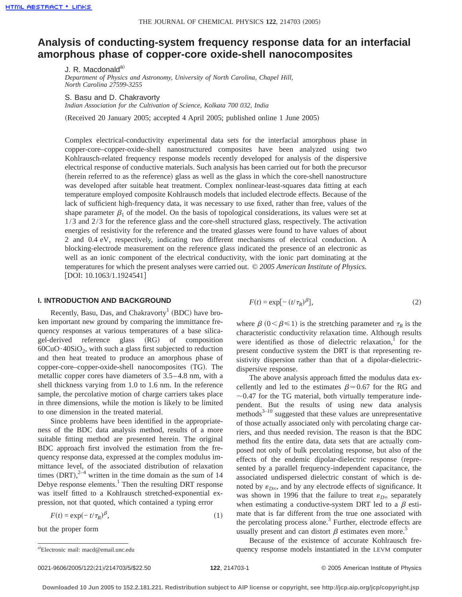# **Analysis of conducting-system frequency response data for an interfacial amorphous phase of copper-core oxide-shell nanocomposites**

J. R. Macdonald<sup>a)</sup>

*Department of Physics and Astronomy, University of North Carolina, Chapel Hill, North Carolina 27599-3255*

S. Basu and D. Chakravorty

*Indian Association for the Cultivation of Science, Kolkata 700 032, India*

(Received 20 January 2005; accepted 4 April 2005; published online 1 June 2005)

Complex electrical-conductivity experimental data sets for the interfacial amorphous phase in copper-core–copper-oxide-shell nanostructured composites have been analyzed using two Kohlrausch-related frequency response models recently developed for analysis of the dispersive electrical response of conductive materials. Such analysis has been carried out for both the precursor (herein referred to as the reference) glass as well as the glass in which the core-shell nanostructure was developed after suitable heat treatment. Complex nonlinear-least-squares data fitting at each temperature employed composite Kohlrausch models that included electrode effects. Because of the lack of sufficient high-frequency data, it was necessary to use fixed, rather than free, values of the shape parameter  $\beta_1$  of the model. On the basis of topological considerations, its values were set at 1/3 and 2/3 for the reference glass and the core-shell structured glass, respectively. The activation energies of resistivity for the reference and the treated glasses were found to have values of about 2 and 0.4 eV, respectively, indicating two different mechanisms of electrical conduction. A blocking-electrode measurement on the reference glass indicated the presence of an electronic as well as an ionic component of the electrical conductivity, with the ionic part dominating at the temperatures for which the present analyses were carried out. © *2005 American Institute of Physics*.  $[$ DOI: 10.1063/1.1924541]

## **I. INTRODUCTION AND BACKGROUND**

Recently, Basu, Das, and Chakravorty<sup>1</sup> (BDC) have broken important new ground by comparing the immittance frequency responses at various temperatures of a base silicagel-derived reference glass (RG) of composition  $60CuO·40SiO<sub>2</sub>$ , with such a glass first subjected to reduction and then heat treated to produce an amorphous phase of copper-core–copper-oxide-shell nanocomposites (TG). The metallic copper cores have diameters of 3.5–4.8 nm, with a shell thickness varying from 1.0 to 1.6 nm. In the reference sample, the percolative motion of charge carriers takes place in three dimensions, while the motion is likely to be limited to one dimension in the treated material.

Since problems have been identified in the appropriateness of the BDC data analysis method, results of a more suitable fitting method are presented herein. The original BDC approach first involved the estimation from the frequency response data, expressed at the complex modulus immittance level, of the associated distribution of relaxation times  $(DRT)$ ,  $2^{-4}$  written in the time domain as the sum of 14 Debye response elements.<sup>1</sup> Then the resulting DRT response was itself fitted to a Kohlrausch stretched-exponential expression, not that quoted, which contained a typing error

$$
F(t) = \exp(-t/\tau_R)^{\beta},\tag{1}
$$

but the proper form

$$
F(t) = \exp[-(t/\tau_R)^{\beta}],
$$
\n(2)

where  $\beta$  ( $0 < \beta \le 1$ ) is the stretching parameter and  $\tau_R$  is the characteristic conductivity relaxation time. Although results were identified as those of dielectric relaxation, $\frac{1}{1}$  for the present conductive system the DRT is that representing resistivity dispersion rather than that of a dipolar-dielectricdispersive response.

The above analysis approach fitted the modulus data excellently and led to the estimates  $\beta \approx 0.67$  for the RG and  $\sim$ 0.47 for the TG material, both virtually temperature independent. But the results of using new data analysis methods $3-10$  suggested that these values are unrepresentative of those actually associated only with percolating charge carriers, and thus needed revision. The reason is that the BDC method fits the entire data, data sets that are actually composed not only of bulk percolating response, but also of the effects of the endemic dipolar-dielectric response (represented by a parallel frequency-independent capacitance, the associated undispersed dielectric constant of which is denoted by  $\varepsilon_{D\infty}$ , and by any electrode effects of significance. It was shown in 1996 that the failure to treat  $\varepsilon_{D^\infty}$  separately when estimating a conductive-system DRT led to a  $\beta$  estimate that is far different from the true one associated with the percolating process alone. $3$  Further, electrode effects are usually present and can distort  $\beta$  estimates even more.<sup>5</sup>

Because of the existence of accurate Kohlrausch frequency response models instantiated in the LEVM computer

Electronic mail: macd@email.unc.edu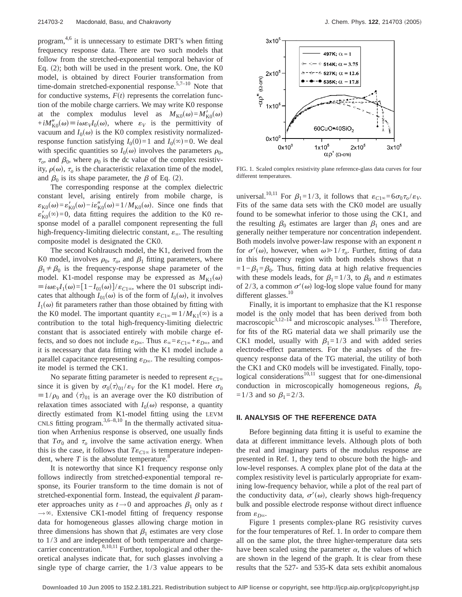program, $4,6$  it is unnecessary to estimate DRT's when fitting frequency response data. There are two such models that follow from the stretched-exponential temporal behavior of Eq.  $(2)$ ; both will be used in the present work. One, the K0 model, is obtained by direct Fourier transformation from time-domain stretched-exponential response. $5,7-10$  Note that for conductive systems,  $F(t)$  represents the correlation function of the mobile charge carriers. We may write K0 response at the complex modulus level as  $M_{K0}(\omega) = M'_{K0}(\omega)$  $+iM''_{K0}(\omega) \equiv i\omega\varepsilon_{V}I_{0}(\omega)$ , where  $\varepsilon_{V}$  is the permittivity of vacuum and  $I_0(\omega)$  is the K0 complex resistivity normalizedresponse function satisfying  $I_0(0)=1$  and  $I_0(\infty)=0$ . We deal with specific quantities so  $I_0(\omega)$  involves the parameters  $\rho_0$ ,  $\tau_o$ , and  $\beta_0$ , where  $\rho_0$  is the dc value of the complex resistivity,  $\rho(\omega)$ ,  $\tau_o$  is the characteristic relaxation time of the model, and  $\beta_0$  is its shape parameter, the  $\beta$  of Eq. (2).

The corresponding response at the complex dielectric constant level, arising entirely from mobile charge, is  $\varepsilon_{K0}(\omega) = \varepsilon'_{K0}(\omega) - i\varepsilon''_{K0}(\omega) = 1/M_{K0}(\omega)$ . Since one finds that  $\varepsilon'_{K0}(\infty) = 0$ , data fitting requires the addition to the K0 response model of a parallel component representing the full high-frequency-limiting dielectric constant,  $\varepsilon_{\infty}$ . The resulting composite model is designated the CK0.

The second Kohlrausch model, the K1, derived from the K0 model, involves  $\rho_0$ ,  $\tau_o$ , and  $\beta_1$  fitting parameters, where  $\beta_1 \neq \beta_0$  is the frequency-response shape parameter of the model. K1-model response may be expressed as  $M_{\text{K1}}(\omega)$  $\equiv i\omega\varepsilon_V I_1(\omega) = [1 - I_{01}(\omega)]/\varepsilon_{C1\omega}$ , where the 01 subscript indicates that although  $I_{01}(\omega)$  is of the form of  $I_0(\omega)$ , it involves  $I_1(\omega)$  fit parameters rather than those obtained by fitting with the K0 model. The important quantity  $\varepsilon_{C1\infty} = 1/M_{K1}(\infty)$  is a contribution to the total high-frequency-limiting dielectric constant that is associated entirely with mobile charge effects, and so does not include  $\varepsilon_{D^\infty}$ . Thus  $\varepsilon_\infty = \varepsilon_{C1^\infty} + \varepsilon_{D^\infty}$ , and it is necessary that data fitting with the K1 model include a parallel capacitance representing  $\varepsilon_{D^\infty}$ . The resulting composite model is termed the CK1.

No separate fitting parameter is needed to represent  $\varepsilon_{C1\infty}$ since it is given by  $\sigma_0 \langle \tau \rangle_{01} / \varepsilon_V$  for the K1 model. Here  $\sigma_0$  $\equiv 1/\rho_0$  and  $\langle \tau \rangle_{01}$  is an average over the K0 distribution of relaxation times associated with  $I_0(\omega)$  response, a quantity directly estimated from K1-model fitting using the LEVM CNLS fitting program. $3,6-8,10$  In the thermally activated situation when Arrhenius response is observed, one usually finds that  $T\sigma_0$  and  $\tau_0$  involve the same activation energy. When this is the case, it follows that  $T\varepsilon_{C1\infty}$  is temperature independent, where  $T$  is the absolute temperature. $\degree$ 

It is noteworthy that since K1 frequency response only follows indirectly from stretched-exponential temporal response, its Fourier transform to the time domain is not of stretched-exponential form. Instead, the equivalent  $\beta$  parameter approaches unity as  $t \rightarrow 0$  and approaches  $\beta_1$  only as *t*  $\rightarrow \infty$ . Extensive CK1-model fitting of frequency response data for homogeneous glasses allowing charge motion in three dimensions has shown that  $\beta_1$  estimates are very close to 1/3 and are independent of both temperature and chargecarrier concentration.<sup>8,10,11</sup> Further, topological and other theoretical analyses indicate that, for such glasses involving a single type of charge carrier, the 1/3 value appears to be



FIG. 1. Scaled complex resistivity plane reference-glass data curves for four different temperatures.

universal.<sup>10,11</sup> For  $\beta_1=1/3$ , it follows that  $\varepsilon_{C1\infty}=6\sigma_0\tau_o/\varepsilon_V$ . Fits of the same data sets with the CK0 model are usually found to be somewhat inferior to those using the CK1, and the resulting  $\beta_0$  estimates are larger than  $\beta_1$  ones and are generally neither temperature nor concentration independent. Both models involve power-law response with an exponent *n* for  $\sigma'(\omega)$ , however, when  $\omega \ge 1/\tau_o$ . Further, fitting of data in this frequency region with both models shows that *n*  $=1-\beta_1=\beta_0$ . Thus, fitting data at high relative frequencies with these models leads, for  $\beta_1=1/3$ , to  $\beta_0$  and *n* estimates of 2/3, a common  $\sigma'(\omega)$  log-log slope value found for many different glasses. $10$ 

Finally, it is important to emphasize that the K1 response model is the only model that has been derived from both macroscopic<sup>3,12–14</sup> and microscopic analyses.<sup>13–15</sup> Therefore, for fits of the RG material data we shall primarily use the CK1 model, usually with  $\beta_1=1/3$  and with added series electrode-effect parameters. For the analyses of the frequency response data of the TG material, the utility of both the CK1 and CK0 models will be investigated. Finally, topological considerations $10,11$  suggest that for one-dimensional conduction in microscopically homogeneous regions,  $\beta_0$ =1/3 and so  $\beta_1$ =2/3.

#### **II. ANALYSIS OF THE REFERENCE DATA**

Before beginning data fitting it is useful to examine the data at different immittance levels. Although plots of both the real and imaginary parts of the modulus response are presented in Ref. 1, they tend to obscure both the high- and low-level responses. A complex plane plot of the data at the complex resistivity level is particularly appropriate for examining low-frequency behavior, while a plot of the real part of the conductivity data,  $\sigma'(\omega)$ , clearly shows high-frequency bulk and possible electrode response without direct influence from  $\varepsilon_{D\infty}$ .

Figure 1 presents complex-plane RG resistivity curves for the four temperatures of Ref. 1. In order to compare them all on the same plot, the three higher-temperature data sets have been scaled using the parameter  $\alpha$ , the values of which are shown in the legend of the graph. It is clear from these results that the 527- and 535-K data sets exhibit anomalous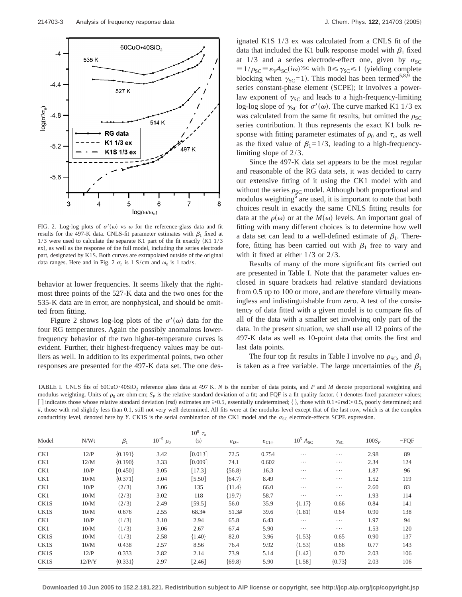

FIG. 2. Log-log plots of  $\sigma'(\omega)$  vs  $\omega$  for the reference-glass data and fit results for the 497-K data. CNLS-fit parameter estimates with  $\beta_1$  fixed at  $1/3$  were used to calculate the separate K1 part of the fit exactly (K1  $1/3$ ex), as well as the response of the full model, including the series electrode part, designated by K1S. Both curves are extrapolated outside of the original data ranges. Here and in Fig. 2  $\sigma_n$  is 1 S/cm and  $\omega_n$  is 1 rad/s.

behavior at lower frequencies. It seems likely that the rightmost three points of the 527-K data and the two ones for the 535-K data are in error, are nonphysical, and should be omitted from fitting.

Figure 2 shows log-log plots of the  $\sigma'(\omega)$  data for the four RG temperatures. Again the possibly anomalous lowerfrequency behavior of the two higher-temperature curves is evident. Further, their highest-frequency values may be outliers as well. In addition to its experimental points, two other responses are presented for the 497-K data set. The one designated K1S 1/3 ex was calculated from a CNLS fit of the data that included the K1 bulk response model with  $\beta_1$  fixed at 1/3 and a series electrode-effect one, given by  $\sigma_{SC}$  $\equiv 1/\rho_{SC} \equiv \varepsilon_V A_{SC}(i\omega)^{\gamma_{SC}}$  with  $0 \le \gamma_{SC} \le 1$  (yielding complete blocking when  $\gamma_{SC}=1$ ). This model has been termed<sup>5,8,9</sup> the series constant-phase element (SCPE); it involves a powerlaw exponent of  $\gamma_{SC}$  and leads to a high-frequency-limiting log-log slope of  $\gamma_{SC}$  for  $\sigma'(\omega)$ . The curve marked K1 1/3 ex was calculated from the same fit results, but omitted the  $\rho_{SC}$ series contribution. It thus represents the exact K1 bulk response with fitting parameter estimates of  $\rho_0$  and  $\tau_o$ , as well as the fixed value of  $\beta_1=1/3$ , leading to a high-frequencylimiting slope of 2/3.

Since the 497-K data set appears to be the most regular and reasonable of the RG data sets, it was decided to carry out extensive fitting of it using the CK1 model with and without the series  $\rho_{SC}$  model. Although both proportional and modulus weighting<sup>6</sup> are used, it is important to note that both choices result in exactly the same CNLS fitting results for data at the  $\rho(\omega)$  or at the  $M(\omega)$  levels. An important goal of fitting with many different choices is to determine how well a data set can lead to a well-defined estimate of  $\beta_1$ . Therefore, fitting has been carried out with  $\beta_1$  free to vary and with it fixed at either  $1/3$  or  $2/3$ .

Results of many of the more significant fits carried out are presented in Table I. Note that the parameter values enclosed in square brackets had relative standard deviations from 0.5 up to 100 or more, and are therefore virtually meaningless and indistinguishable from zero. A test of the consistency of data fitted with a given model is to compare fits of all of the data with a smaller set involving only part of the data. In the present situation, we shall use all 12 points of the 497-K data as well as 10-point data that omits the first and last data points.

The four top fit results in Table I involve no  $\rho_{SC}$ , and  $\beta_1$ is taken as a free variable. The large uncertainties of the  $\beta_1$ 

TABLE I. CNLS fits of 60CuO**·**40SiO2 reference glass data at 497 K. *N* is the number of data points, and *P* and *M* denote proportional weighting and modulus weighting. Units of  $\rho_0$  are ohm cm;  $S_F$  is the relative standard deviation of a fit; and FQF is a fit quality factor. () denotes fixed parameter values; [] indicates those whose relative standard deviation (rsd) estimates are  $\geq 0.5$ , essentially undetermined; {}, those with  $0.1 \leq$  rsd $> 0.5$ , poorly determined; and #, those with rsd slightly less than 0.1, still not very well determined. All fits were at the modulus level except that of the last row, which is at the complex conductitity level, denoted here by *Y*. CK1S is the serial combination of the CK1 model and the  $\sigma_{SC}$  electrode-effects SCPE expression.

| $-FQF$ | $100S_F$ | $\gamma_{\rm SC}$ | $10^5$ $A_{SC}$ | $\varepsilon_{C1\infty}$ | $\varepsilon_{D^\infty}$ | $10^8 \tau_o$<br>(s) | $10^{-5} \rho_0$ | $\beta_1$ | N/Wt   | Model |
|--------|----------|-------------------|-----------------|--------------------------|--------------------------|----------------------|------------------|-----------|--------|-------|
| 89     | 2.98     | $\cdots$          | $\cdots$        | 0.754                    | 72.5                     | [0.013]              | 3.42             | ${0.191}$ | 12/P   | CK1   |
| 124    | 2.34     | $\cdots$          | $\cdots$        | 0.602                    | 74.1                     | [0.009]              | 3.33             | ${0.190}$ | 12/M   | CK1   |
| 96     | 1.87     | $\cdots$          | $\cdots$        | 16.3                     | ${56.8}$                 | $[17.3]$             | 3.05             | $[0.450]$ | 10/P   | CK1   |
| 119    | 1.52     | $\cdots$          | $\cdots$        | 8.49                     | ${64.7}$                 | $[5.50]$             | 3.04             | ${0.371}$ | 10/M   | CK1   |
| 83     | 2.60     | $\cdots$          | $\cdots$        | 66.0                     | ${11.4}$                 | 135                  | 3.06             | (2/3)     | 10/P   | CK1   |
| 114    | 1.93     | $\cdots$          | $\cdots$        | 58.7                     | ${19.7}$                 | 118                  | 3.02             | (2/3)     | 10/M   | CK1   |
| 141    | 0.84     | 0.66              | ${1.17}$        | 35.9                     | 56.0                     | $[59.5]$             | 2.49             | (2/3)     | 10/M   | CK1S  |
| 138    | 0.90     | 0.64              | (1.81)          | 39.6                     | 51.3#                    | 68.3#                | 2.55             | 0.676     | 10/M   | CK1S  |
| 94     | 1.97     | $\cdots$          | $\cdots$        | 6.43                     | 65.8                     | 2.94                 | 3.10             | (1/3)     | 10/P   | CK1   |
| 120    | 1.53     | $\cdots$          | $\cdots$        | 5.90                     | 67.4                     | 2.67                 | 3.06             | (1/3)     | 10/M   | CK1   |
| 137    | 0.90     | 0.65              | ${1.53}$        | 3.96                     | 82.0                     | ${1.40}$             | 2.58             | (1/3)     | 10/M   | CK1S  |
| 143    | 0.77     | 0.66              | (1.53)          | 9.92                     | 76.4                     | 8.56                 | 2.57             | 0.438     | 10/M   | CK1S  |
| 106    | 2.03     | 0.70              | $[1.42]$        | 5.14                     | 73.9                     | 2.14                 | 2.82             | 0.333     | 12/P   | CK1S  |
| 106    | 2.03     | ${0.73}$          | $[1.58]$        | 5.90                     | ${69.8}$                 | $\lceil 2.46 \rceil$ | 2.97             | ${0.331}$ | 12/P/Y | CK1S  |
|        |          |                   |                 |                          |                          |                      |                  |           |        |       |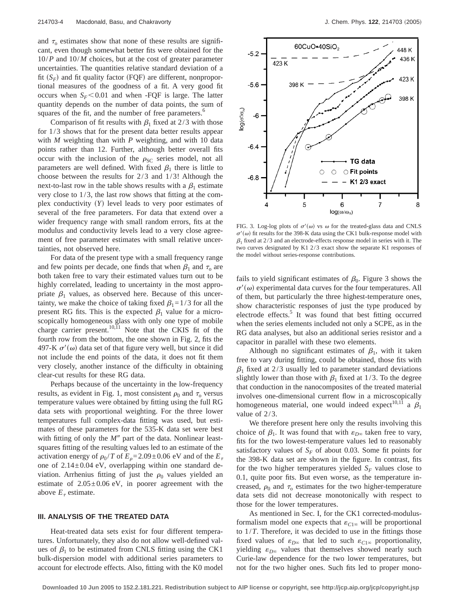and  $\tau_0$  estimates show that none of these results are significant, even though somewhat better fits were obtained for the 10/*P* and 10/*M* choices, but at the cost of greater parameter uncertainties. The quantities relative standard deviation of a fit  $(S_F)$  and fit quality factor (FQF) are different, nonproportional measures of the goodness of a fit. A very good fit occurs when  $S_F$ <0.01 and when -FQF is large. The latter quantity depends on the number of data points, the sum of squares of the fit, and the number of free parameters.<sup>6</sup>

Comparison of fit results with  $\beta_1$  fixed at 2/3 with those for 1/3 shows that for the present data better results appear with *M* weighting than with *P* weighting, and with 10 data points rather than 12. Further, although better overall fits occur with the inclusion of the  $\rho_{SC}$  series model, not all parameters are well defined. With fixed  $\beta_1$  there is little to choose between the results for 2/3 and 1/3! Although the next-to-last row in the table shows results with a  $\beta_1$  estimate very close to 1/3, the last row shows that fitting at the complex conductivity (Y) level leads to very poor estimates of several of the free parameters. For data that extend over a wider frequency range with small random errors, fits at the modulus and conductivity levels lead to a very close agreement of free parameter estimates with small relative uncertainties, not observed here.

For data of the present type with a small frequency range and few points per decade, one finds that when  $\beta_1$  and  $\tau_0$  are both taken free to vary their estimated values turn out to be highly correlated, leading to uncertainty in the most appropriate  $\beta_1$  values, as observed here. Because of this uncertainty, we make the choice of taking fixed  $\beta_1=1/3$  for all the present RG fits. This is the expected  $\beta_1$  value for a microscopically homogeneous glass with only one type of mobile charge carrier present.<sup>10,11</sup> Note that the CKIS fit of the fourth row from the bottom, the one shown in Fig. 2, fits the 497-K  $\sigma'(\omega)$  data set of that figure very well, but since it did not include the end points of the data, it does not fit them very closely, another instance of the difficulty in obtaining clear-cut results for these RG data.

Perhaps because of the uncertainty in the low-frequency results, as evident in Fig. 1, most consistent  $\rho_0$  and  $\tau_0$  versus temperature values were obtained by fitting using the full RG data sets with proportional weighting. For the three lower temperatures full complex-data fitting was used, but estimates of these parameters for the 535-K data set were best with fitting of only the  $M''$  part of the data. Nonlinear leastsquares fitting of the resulting values led to an estimate of the activation energy of  $\rho_0 / T$  of  $E_0 = 2.09 \pm 0.06$  eV and of the  $E_\tau$ one of  $2.14 \pm 0.04$  eV, overlapping within one standard deviation. Arrhenius fitting of just the  $\rho_0$  values yielded an estimate of  $2.05 \pm 0.06$  eV, in poorer agreement with the above  $E_{\tau}$  estimate.

## **III. ANALYSIS OF THE TREATED DATA**

Heat-treated data sets exist for four different temperatures. Unfortunately, they also do not allow well-defined values of  $\beta_1$  to be estimated from CNLS fitting using the CK1 bulk-dispersion model with additional series parameters to account for electrode effects. Also, fitting with the K0 model



FIG. 3. Log-log plots of  $\sigma'(\omega)$  vs  $\omega$  for the treated-glass data and CNLS  $\sigma'(\omega)$  fit results for the 398-K data using the CK1 bulk-response model with  $\beta_1$  fixed at 2/3 and an electrode-effects response model in series with it. The two curves designated by K1 2/3 exact show the separate K1 responses of the model without series-response contributions.

fails to yield significant estimates of  $\beta_0$ . Figure 3 shows the  $\sigma'(\omega)$  experimental data curves for the four temperatures. All of them, but particularly the three highest-temperature ones, show characteristic responses of just the type produced by electrode effects.<sup>5</sup> It was found that best fitting occurred when the series elements included not only a SCPE, as in the RG data analyses, but also an additional series resistor and a capacitor in parallel with these two elements.

Although no significant estimates of  $\beta_1$ , with it taken free to vary during fitting, could be obtained, those fits with  $\beta_1$  fixed at 2/3 usually led to parameter standard deviations slightly lower than those with  $\beta_1$  fixed at 1/3. To the degree that conduction in the nanocomposites of the treated material involves one-dimensional current flow in a microscopically homogeneous material, one would indeed expect<sup>10,11</sup> a  $\beta_1$ value of 2/3.

We therefore present here only the results involving this choice of  $\beta_1$ . It was found that with  $\varepsilon_{D^\infty}$  taken free to vary, fits for the two lowest-temperature values led to reasonably satisfactory values of  $S_F$  of about 0.03. Some fit points for the 398-K data set are shown in the figure. In contrast, fits for the two higher temperatures yielded  $S_F$  values close to 0.1, quite poor fits. But even worse, as the temperature increased,  $\rho_0$  and  $\tau_0$  estimates for the two higher-temperature data sets did not decrease monotonically with respect to those for the lower temperatures.

As mentioned in Sec. I, for the CK1 corrected-modulusformalism model one expects that  $\varepsilon_{C1\infty}$  will be proportional to 1/*T*. Therefore, it was decided to use in the fittings those fixed values of  $\varepsilon_{D^\infty}$  that led to such  $\varepsilon_{C1^\infty}$  proportionality, yielding  $\varepsilon_{D^\infty}$  values that themselves showed nearly such Curie-law dependence for the two lower temperatures, but not for the two higher ones. Such fits led to proper mono-